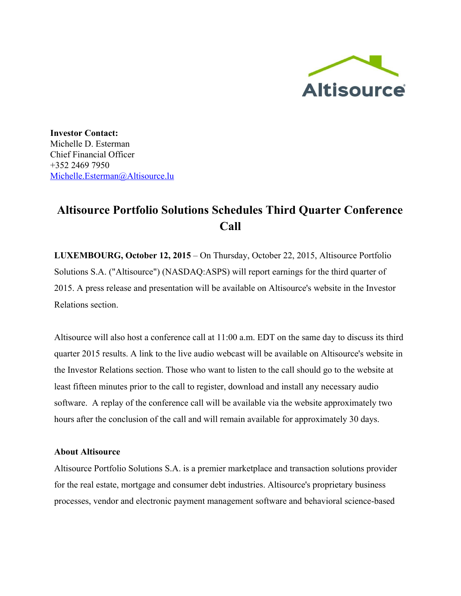

**Investor Contact:** Michelle D. Esterman Chief Financial Officer +352 2469 7950 [Michelle.Esterman@Altisource.lu](mailto:Michelle.Esterman@Altisource.lu)

## **Altisource Portfolio Solutions Schedules Third Quarter Conference Call**

**LUXEMBOURG, October 12, 2015**– On Thursday, October 22, 2015, Altisource Portfolio Solutions S.A. ("Altisource") (NASDAQ:ASPS) will report earnings for the third quarter of 2015. A press release and presentation will be available on Altisource's website in the Investor Relations section.

Altisource will also host a conference call at 11:00 a.m. EDT on the same day to discuss its third quarter 2015 results. A link to the live audio webcast will be available on Altisource's website in the Investor Relations section. Those who want to listen to the call should go to the website at least fifteen minutes prior to the call to register, download and install any necessary audio software. A replay of the conference call will be available via the website approximately two hours after the conclusion of the call and will remain available for approximately 30 days.

## **About Altisource**

Altisource Portfolio Solutions S.A. is a premier marketplace and transaction solutions provider for the real estate, mortgage and consumer debt industries. Altisource's proprietary business processes, vendor and electronic payment management software and behavioral sciencebased